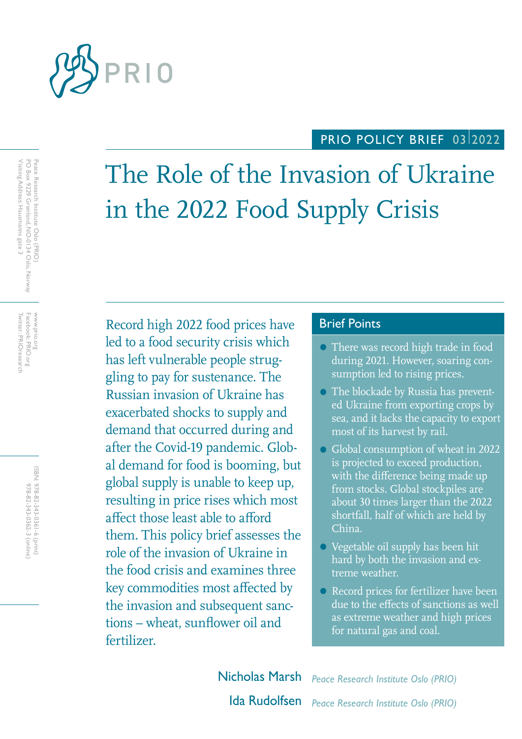

## PRIO POLICY BRIEF 0312022

# The Role of the Invasion of Ukraine in the 2022 Food Supply Crisis

Record high 2022 food prices have Brief Points led to a food security crisis which has left vulnerable people struggling to pay for sustenance. The Russian invasion of Ukraine has exacerbated shocks to supply and demand that occurred during and after the Covid-19 pandemic. Global demand for food is booming, but global supply is unable to keep up, resulting in price rises which most affect those least able to afford them. This policy brief assesses the role of the invasion of Ukraine in the food crisis and examines three key commodities most affected by the invasion and subsequent sanctions – wheat, sunflower oil and fertilizer.

- There was record high trade in food during 2021. However, soaring consumption led to rising prices.
- The blockade by Russia has prevented Ukraine from exporting crops by sea, and it lacks the capacity to export most of its harvest by rail.
- Global consumption of wheat in 2022 is projected to exceed production, with the difference being made up from stocks. Global stockpiles are about 30 times larger than the 2022 shortfall, half of which are held by China.
- Vegetable oil supply has been hit hard by both the invasion and extreme weather.
- Record prices for fertilizer have been due to the effects of sanctions as well as extreme weather and high prices for natural gas and coal.

Nicholas Marsh *Peace Research Institute Oslo (PRIO)* Ida Rudolfsen *Peace Research Institute Oslo (PRIO)*

Facebook: PRIO.org<br>Twitter: PRIOresearch Twitter: PRIOresearch Facebook: PRIO.org www.prio.org WWW.prio.org

> ISBN: 978-82-343-0361-6 (print) 978-82-343-0362-3 (online) 978-82-343-0362-3 (online) 978-82-343-0361-6 (print)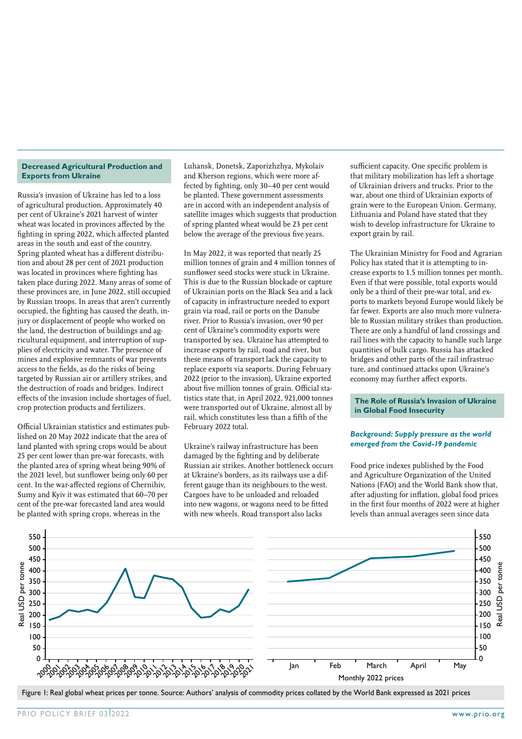#### **Decreased Agricultural Production and Exports from Ukraine**

Russia's invasion of Ukraine has led to a loss of agricultural production. Approximately 40 per cent of Ukraine's 2021 harvest of winter wheat was located in provinces affected by the fighting in spring 2022, which affected planted areas in the south and east of the country. Spring planted wheat has a different distribution and about 28 per cent of 2021 production was located in provinces where fighting has taken place during 2022. Many areas of some of these provinces are, in June 2022, still occupied by Russian troops. In areas that aren't currently occupied, the fighting has caused the death, injury or displacement of people who worked on the land, the destruction of buildings and agricultural equipment, and interruption of supplies of electricity and water. The presence of mines and explosive remnants of war prevents access to the fields, as do the risks of being targeted by Russian air or artillery strikes, and the destruction of roads and bridges. Indirect effects of the invasion include shortages of fuel, crop protection products and fertilizers.

Official Ukrainian statistics and estimates published on 20 May 2022 indicate that the area of land planted with spring crops would be about 25 per cent lower than pre-war forecasts, with the planted area of spring wheat being 90% of the 2021 level, but sunflower being only 60 per cent. In the war-affected regions of Chernihiv, Sumy and Kyiv it was estimated that 60–70 per cent of the pre-war forecasted land area would be planted with spring crops, whereas in the

Luhansk, Donetsk, Zaporizhzhya, Mykolaiv and Kherson regions, which were more affected by fighting, only 30–40 per cent would be planted. These government assessments are in accord with an independent analysis of satellite images which suggests that production of spring planted wheat would be 23 per cent below the average of the previous five years.

In May 2022, it was reported that nearly 25 million tonnes of grain and 4 million tonnes of sunflower seed stocks were stuck in Ukraine. This is due to the Russian blockade or capture of Ukrainian ports on the Black Sea and a lack of capacity in infrastructure needed to export grain via road, rail or ports on the Danube river. Prior to Russia's invasion, over 90 per cent of Ukraine's commodity exports were transported by sea. Ukraine has attempted to increase exports by rail, road and river, but these means of transport lack the capacity to replace exports via seaports. During February 2022 (prior to the invasion), Ukraine exported about five million tonnes of grain. Official statistics state that, in April 2022, 921,000 tonnes were transported out of Ukraine, almost all by rail, which constitutes less than a fifth of the February 2022 total.

Ukraine's railway infrastructure has been damaged by the fighting and by deliberate Russian air strikes. Another bottleneck occurs at Ukraine's borders, as its railways use a different gauge than its neighbours to the west. Cargoes have to be unloaded and reloaded into new wagons, or wagons need to be fitted with new wheels. Road transport also lacks

sufficient capacity. One specific problem is that military mobilization has left a shortage of Ukrainian drivers and trucks. Prior to the war, about one third of Ukrainian exports of grain were to the European Union. Germany, Lithuania and Poland have stated that they wish to develop infrastructure for Ukraine to export grain by rail.

The Ukrainian Ministry for Food and Agrarian Policy has stated that it is attempting to increase exports to 1.5 million tonnes per month. Even if that were possible, total exports would only be a third of their pre-war total, and exports to markets beyond Europe would likely be far fewer. Exports are also much more vulnerable to Russian military strikes than production. There are only a handful of land crossings and rail lines with the capacity to handle such large quantities of bulk cargo. Russia has attacked bridges and other parts of the rail infrastructure, and continued attacks upon Ukraine's economy may further affect exports.

#### **The Role of Russia's Invasion of Ukraine in Global Food Insecurity**

#### *Background: Supply pressure as the world emerged from the Covid-19 pandemic*

Food price indexes published by the Food and Agriculture Organization of the United Nations (FAO) and the World Bank show that, after adjusting for inflation, global food prices in the first four months of 2022 were at higher levels than annual averages seen since data



Figure 1: Real global wheat prices per tonne. Source: Authors' analysis of commodity prices collated by the World Bank expressed as 2021 prices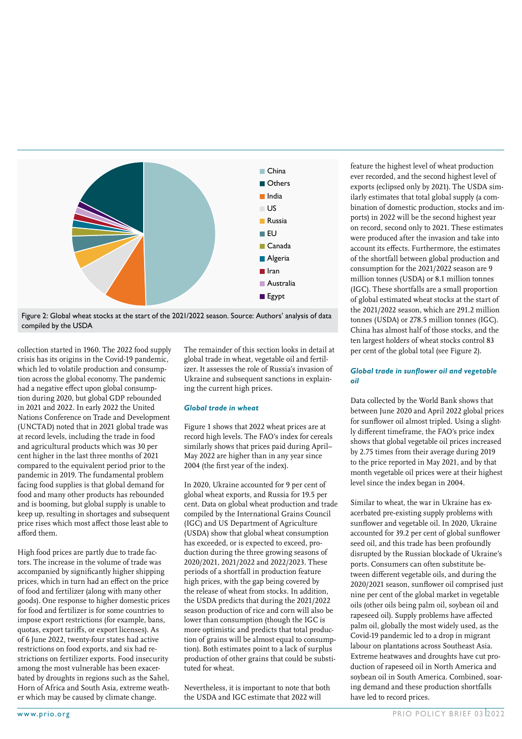



collection started in 1960. The 2022 food supply crisis has its origins in the Covid-19 pandemic, which led to volatile production and consumption across the global economy. The pandemic had a negative effect upon global consumption during 2020, but global GDP rebounded in 2021 and 2022. In early 2022 the United Nations Conference on Trade and Development (UNCTAD) noted that in 2021 global trade was at record levels, including the trade in food and agricultural products which was 30 per cent higher in the last three months of 2021 compared to the equivalent period prior to the pandemic in 2019. The fundamental problem facing food supplies is that global demand for food and many other products has rebounded and is booming, but global supply is unable to keep up, resulting in shortages and subsequent price rises which most affect those least able to afford them.

High food prices are partly due to trade factors. The increase in the volume of trade was accompanied by significantly higher shipping prices, which in turn had an effect on the price of food and fertilizer (along with many other goods). One response to higher domestic prices for food and fertilizer is for some countries to impose export restrictions (for example, bans, quotas, export tariffs, or export licenses). As of 6 June 2022, twenty-four states had active restrictions on food exports, and six had restrictions on fertilizer exports. Food insecurity among the most vulnerable has been exacerbated by droughts in regions such as the Sahel, Horn of Africa and South Asia, extreme weather which may be caused by climate change.

The remainder of this section looks in detail at global trade in wheat, vegetable oil and fertilizer. It assesses the role of Russia's invasion of Ukraine and subsequent sanctions in explaining the current high prices.

#### *Global trade in wheat*

Figure 1 shows that 2022 wheat prices are at record high levels. The FAO's index for cereals similarly shows that prices paid during April– May 2022 are higher than in any year since 2004 (the first year of the index).

In 2020, Ukraine accounted for 9 per cent of global wheat exports, and Russia for 19.5 per cent. Data on global wheat production and trade compiled by the International Grains Council (IGC) and US Department of Agriculture (USDA) show that global wheat consumption has exceeded, or is expected to exceed, production during the three growing seasons of 2020/2021, 2021/2022 and 2022/2023. These periods of a shortfall in production feature high prices, with the gap being covered by the release of wheat from stocks. In addition, the USDA predicts that during the 2021/2022 season production of rice and corn will also be lower than consumption (though the IGC is more optimistic and predicts that total production of grains will be almost equal to consumption). Both estimates point to a lack of surplus production of other grains that could be substituted for wheat.

Nevertheless, it is important to note that both the USDA and IGC estimate that 2022 will

feature the highest level of wheat production ever recorded, and the second highest level of exports (eclipsed only by 2021). The USDA similarly estimates that total global supply (a combination of domestic production, stocks and imports) in 2022 will be the second highest year on record, second only to 2021. These estimates were produced after the invasion and take into account its effects. Furthermore, the estimates of the shortfall between global production and consumption for the 2021/2022 season are 9 million tonnes (USDA) or 8.1 million tonnes (IGC). These shortfalls are a small proportion of global estimated wheat stocks at the start of the 2021/2022 season, which are 291.2 million tonnes (USDA) or 278.5 million tonnes (IGC). China has almost half of those stocks, and the ten largest holders of wheat stocks control 83 per cent of the global total (see Figure 2).

#### *Global trade in sunflower oil and vegetable oil*

Data collected by the World Bank shows that between June 2020 and April 2022 global prices for sunflower oil almost tripled. Using a slightly different timeframe, the FAO's price index shows that global vegetable oil prices increased by 2.75 times from their average during 2019 to the price reported in May 2021, and by that month vegetable oil prices were at their highest level since the index began in 2004.

Similar to wheat, the war in Ukraine has exacerbated pre-existing supply problems with sunflower and vegetable oil. In 2020, Ukraine accounted for 39.2 per cent of global sunflower seed oil, and this trade has been profoundly disrupted by the Russian blockade of Ukraine's ports. Consumers can often substitute between different vegetable oils, and during the 2020/2021 season, sunflower oil comprised just nine per cent of the global market in vegetable oils (other oils being palm oil, soybean oil and rapeseed oil). Supply problems have affected palm oil, globally the most widely used, as the Covid-19 pandemic led to a drop in migrant labour on plantations across Southeast Asia. Extreme heatwaves and droughts have cut production of rapeseed oil in North America and soybean oil in South America. Combined, soaring demand and these production shortfalls have led to record prices.